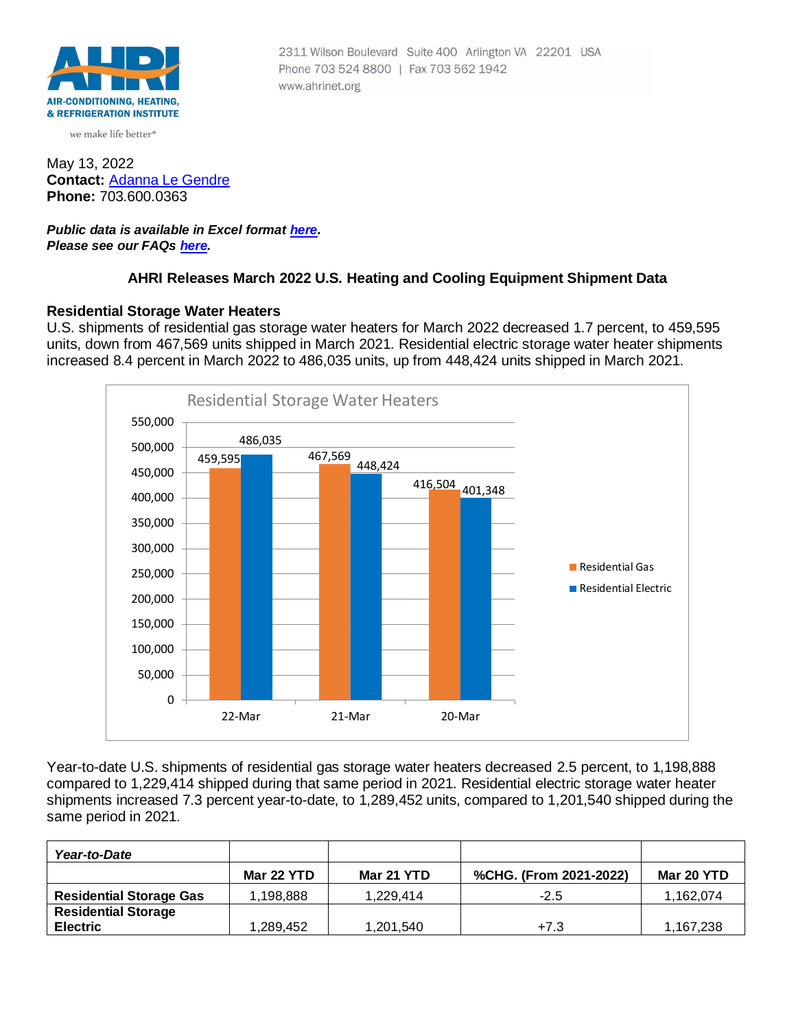

we make life better<sup>®</sup>

May 13, 2022 **Contact:** [Adanna Le Gendre](mailto:AleGendre@ahrinet.org) **Phone:** 703.600.0363

#### *Public data is available in Excel format [here](https://ahrinet.org/Portals/Reports/March%202022%20Numbers.xls). Please see our FAQs [here.](#page-4-0)*

## **AHRI Releases March 2022 U.S. Heating and Cooling Equipment Shipment Data**

Phone 703 524 8800 | Fax 703 562 1942

www.ahrinet.org

2311 Wilson Boulevard Suite 400 Arlington VA 22201 USA

#### **Residential Storage Water Heaters**

U.S. shipments of residential gas storage water heaters for March 2022 decreased 1.7 percent, to 459,595 units, down from 467,569 units shipped in March 2021. Residential electric storage water heater shipments increased 8.4 percent in March 2022 to 486,035 units, up from 448,424 units shipped in March 2021.



Year-to-date U.S. shipments of residential gas storage water heaters decreased 2.5 percent, to 1,198,888 compared to 1,229,414 shipped during that same period in 2021. Residential electric storage water heater shipments increased 7.3 percent year-to-date, to 1,289,452 units, compared to 1,201,540 shipped during the same period in 2021.

| Year-to-Date                   |            |            |                        |            |
|--------------------------------|------------|------------|------------------------|------------|
|                                | Mar 22 YTD | Mar 21 YTD | %CHG. (From 2021-2022) | Mar 20 YTD |
| <b>Residential Storage Gas</b> | 1.198.888  | 1.229.414  | $-2.5$                 | 1,162,074  |
| <b>Residential Storage</b>     |            |            |                        |            |
| <b>Electric</b>                | 1.289.452  | 1,201,540  | $+7.3$                 | 1.167.238  |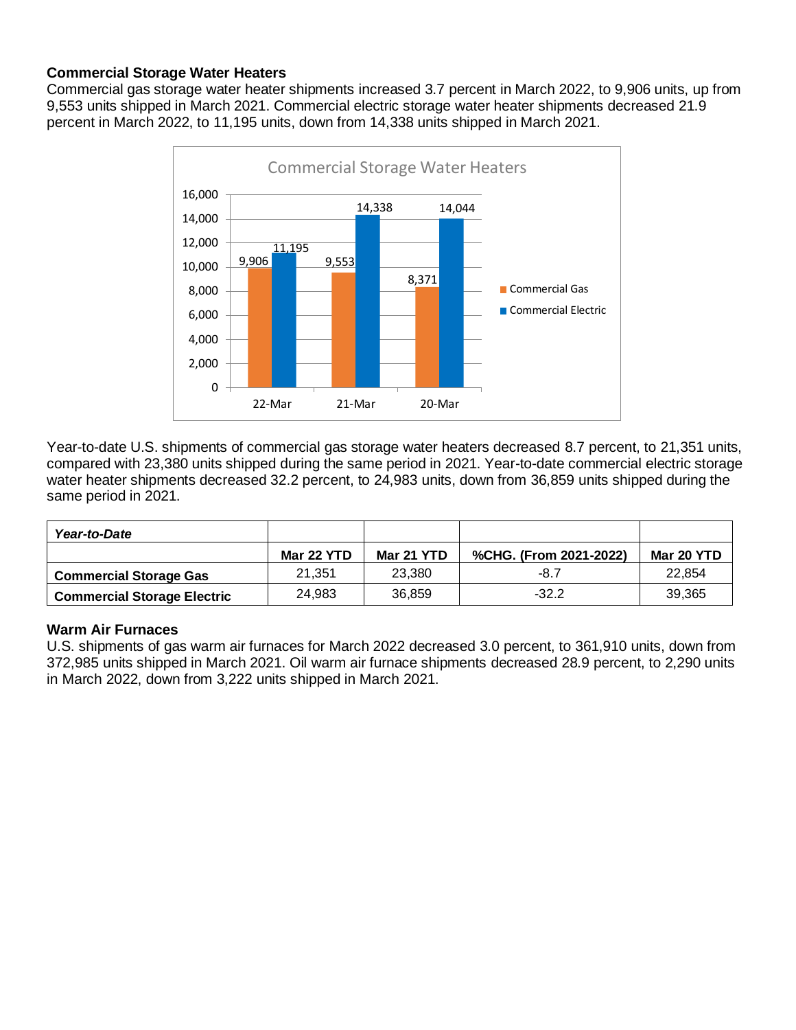# **Commercial Storage Water Heaters**

Commercial gas storage water heater shipments increased 3.7 percent in March 2022, to 9,906 units, up from 9,553 units shipped in March 2021. Commercial electric storage water heater shipments decreased 21.9 percent in March 2022, to 11,195 units, down from 14,338 units shipped in March 2021.



Year-to-date U.S. shipments of commercial gas storage water heaters decreased 8.7 percent, to 21,351 units, compared with 23,380 units shipped during the same period in 2021. Year-to-date commercial electric storage water heater shipments decreased 32.2 percent, to 24,983 units, down from 36,859 units shipped during the same period in 2021.

| Year-to-Date                       |            |            |                        |            |
|------------------------------------|------------|------------|------------------------|------------|
|                                    | Mar 22 YTD | Mar 21 YTD | %CHG. (From 2021-2022) | Mar 20 YTD |
| <b>Commercial Storage Gas</b>      | 21.351     | 23,380     | $-8.7$                 | 22.854     |
| <b>Commercial Storage Electric</b> | 24.983     | 36,859     | $-32.2$                | 39,365     |

## **Warm Air Furnaces**

U.S. shipments of gas warm air furnaces for March 2022 decreased 3.0 percent, to 361,910 units, down from 372,985 units shipped in March 2021. Oil warm air furnace shipments decreased 28.9 percent, to 2,290 units in March 2022, down from 3,222 units shipped in March 2021.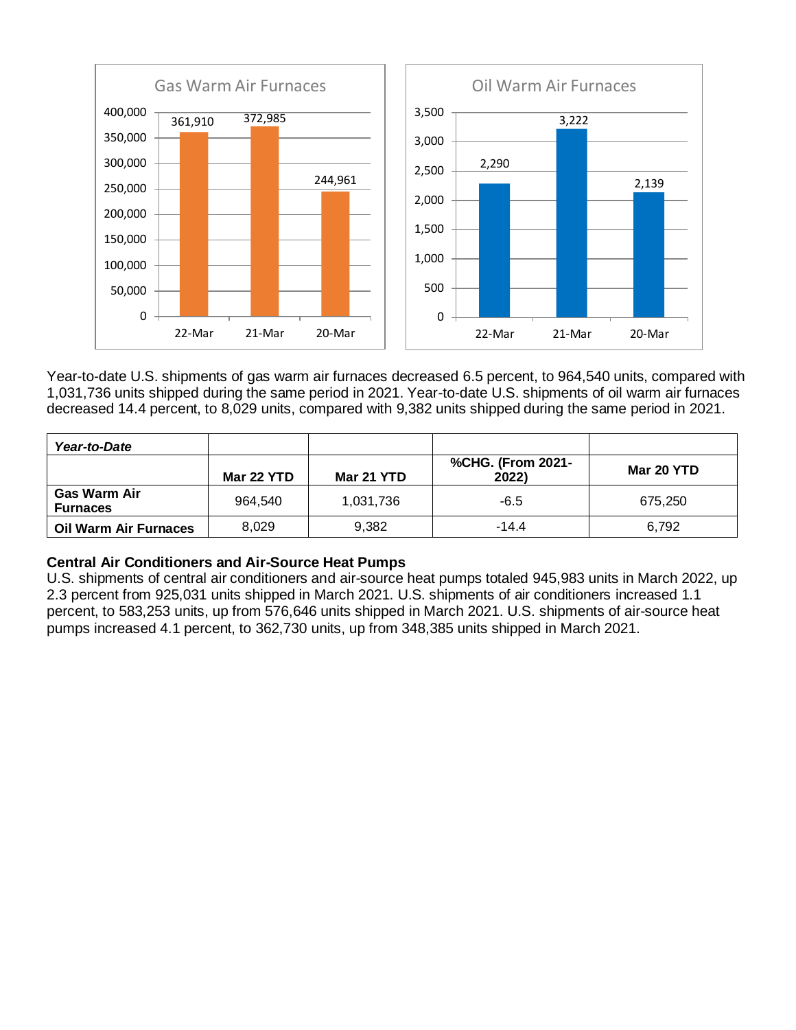

Year-to-date U.S. shipments of gas warm air furnaces decreased 6.5 percent, to 964,540 units, compared with 1,031,736 units shipped during the same period in 2021. Year-to-date U.S. shipments of oil warm air furnaces decreased 14.4 percent, to 8,029 units, compared with 9,382 units shipped during the same period in 2021.

| Year-to-Date                           |            |            |                            |            |
|----------------------------------------|------------|------------|----------------------------|------------|
|                                        | Mar 22 YTD | Mar 21 YTD | %CHG. (From 2021-<br>2022) | Mar 20 YTD |
| <b>Gas Warm Air</b><br><b>Furnaces</b> | 964.540    | 1,031,736  | $-6.5$                     | 675.250    |
| Oil Warm Air Furnaces                  | 8,029      | 9.382      | $-14.4$                    | 6.792      |

## **Central Air Conditioners and Air-Source Heat Pumps**

U.S. shipments of central air conditioners and air-source heat pumps totaled 945,983 units in March 2022, up 2.3 percent from 925,031 units shipped in March 2021. U.S. shipments of air conditioners increased 1.1 percent, to 583,253 units, up from 576,646 units shipped in March 2021. U.S. shipments of air-source heat pumps increased 4.1 percent, to 362,730 units, up from 348,385 units shipped in March 2021.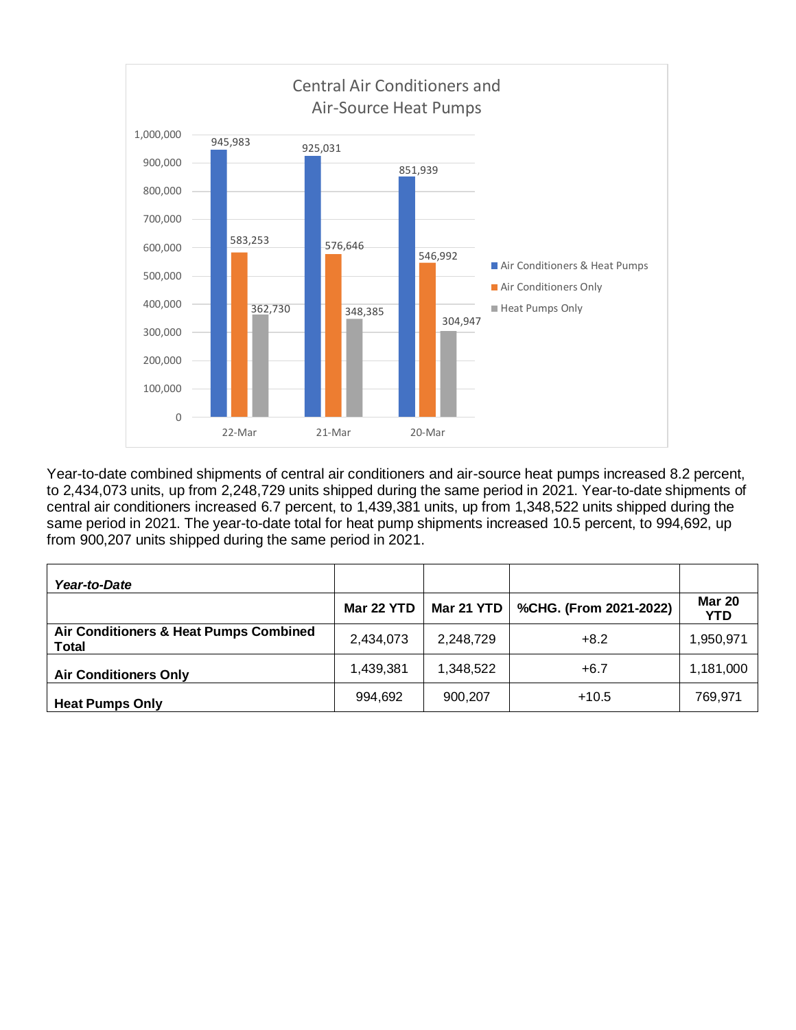

Year-to-date combined shipments of central air conditioners and air-source heat pumps increased 8.2 percent, to 2,434,073 units, up from 2,248,729 units shipped during the same period in 2021. Year-to-date shipments of central air conditioners increased 6.7 percent, to 1,439,381 units, up from 1,348,522 units shipped during the same period in 2021. The year-to-date total for heat pump shipments increased 10.5 percent, to 994,692, up from 900,207 units shipped during the same period in 2021.

| Year-to-Date                                           |            |            |                        |                             |
|--------------------------------------------------------|------------|------------|------------------------|-----------------------------|
|                                                        | Mar 22 YTD | Mar 21 YTD | %CHG. (From 2021-2022) | <b>Mar 20</b><br><b>YTD</b> |
| Air Conditioners & Heat Pumps Combined<br><b>Total</b> | 2,434,073  | 2,248,729  | $+8.2$                 | 1,950,971                   |
| <b>Air Conditioners Only</b>                           | 1,439,381  | 1,348,522  | $+6.7$                 | 1,181,000                   |
| <b>Heat Pumps Only</b>                                 | 994,692    | 900,207    | $+10.5$                | 769,971                     |